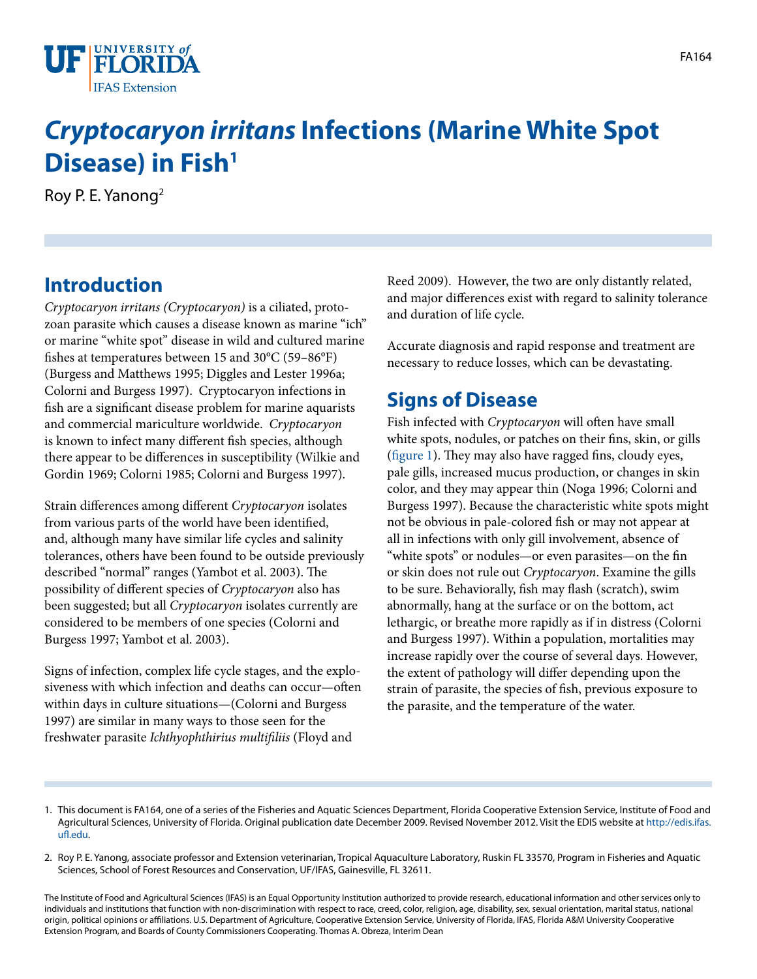

# *Cryptocaryon irritans* **Infections (Marine White Spot Disease) in Fish<sup>1</sup>**

Roy P. E. Yanong2

# **Introduction**

*Cryptocaryon irritans (Cryptocaryon)* is a ciliated, protozoan parasite which causes a disease known as marine "ich" or marine "white spot" disease in wild and cultured marine fishes at temperatures between 15 and 30°C (59–86°F) (Burgess and Matthews 1995; Diggles and Lester 1996a; Colorni and Burgess 1997). Cryptocaryon infections in fish are a significant disease problem for marine aquarists and commercial mariculture worldwide. *Cryptocaryon* is known to infect many different fish species, although there appear to be differences in susceptibility (Wilkie and Gordin 1969; Colorni 1985; Colorni and Burgess 1997).

Strain differences among different *Cryptocaryon* isolates from various parts of the world have been identified, and, although many have similar life cycles and salinity tolerances, others have been found to be outside previously described "normal" ranges (Yambot et al. 2003). The possibility of different species of *Cryptocaryon* also has been suggested; but all *Cryptocaryon* isolates currently are considered to be members of one species (Colorni and Burgess 1997; Yambot et al. 2003).

Signs of infection, complex life cycle stages, and the explosiveness with which infection and deaths can occur—often within days in culture situations—(Colorni and Burgess 1997) are similar in many ways to those seen for the freshwater parasite *Ichthyophthirius multifiliis* (Floyd and

Reed 2009). However, the two are only distantly related, and major differences exist with regard to salinity tolerance and duration of life cycle.

Accurate diagnosis and rapid response and treatment are necessary to reduce losses, which can be devastating.

### **Signs of Disease**

Fish infected with *Cryptocaryon* will often have small white spots, nodules, or patches on their fins, skin, or gills [\(figure 1](FIGURE_1)). They may also have ragged fins, cloudy eyes, pale gills, increased mucus production, or changes in skin color, and they may appear thin (Noga 1996; Colorni and Burgess 1997). Because the characteristic white spots might not be obvious in pale-colored fish or may not appear at all in infections with only gill involvement, absence of "white spots" or nodules—or even parasites—on the fin or skin does not rule out *Cryptocaryon*. Examine the gills to be sure. Behaviorally, fish may flash (scratch), swim abnormally, hang at the surface or on the bottom, act lethargic, or breathe more rapidly as if in distress (Colorni and Burgess 1997). Within a population, mortalities may increase rapidly over the course of several days. However, the extent of pathology will differ depending upon the strain of parasite, the species of fish, previous exposure to the parasite, and the temperature of the water.

- 1. This document is FA164, one of a series of the Fisheries and Aquatic Sciences Department, Florida Cooperative Extension Service, Institute of Food and Agricultural Sciences, University of Florida. Original publication date December 2009. Revised November 2012. Visit the EDIS website at [http://edis.ifas.](http://edis.ifas.ufl.edu) [ufl.edu](http://edis.ifas.ufl.edu).
- 2. Roy P. E. Yanong, associate professor and Extension veterinarian, Tropical Aquaculture Laboratory, Ruskin FL 33570, Program in Fisheries and Aquatic Sciences, School of Forest Resources and Conservation, UF/IFAS, Gainesville, FL 32611.

The Institute of Food and Agricultural Sciences (IFAS) is an Equal Opportunity Institution authorized to provide research, educational information and other services only to individuals and institutions that function with non-discrimination with respect to race, creed, color, religion, age, disability, sex, sexual orientation, marital status, national origin, political opinions or affiliations. U.S. Department of Agriculture, Cooperative Extension Service, University of Florida, IFAS, Florida A&M University Cooperative Extension Program, and Boards of County Commissioners Cooperating. Thomas A. Obreza, Interim Dean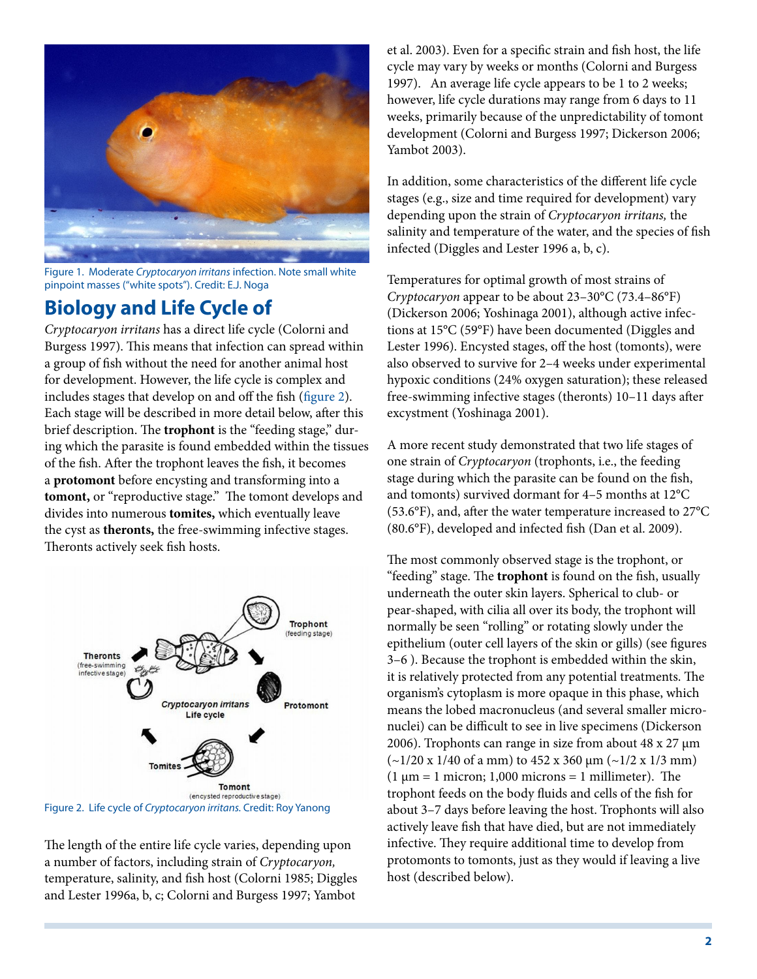

Figure 1. Moderate *Cryptocaryon irritans* infection. Note small white pinpoint masses ("white spots"). Credit: E.J. Noga

#### **Biology and Life Cycle of**

*Cryptocaryon irritans* has a direct life cycle (Colorni and Burgess 1997). This means that infection can spread within a group of fish without the need for another animal host for development. However, the life cycle is complex and includes stages that develop on and off the fish ([figure 2\)](FIGURE_2). Each stage will be described in more detail below, after this brief description. The **trophont** is the "feeding stage," during which the parasite is found embedded within the tissues of the fish. After the trophont leaves the fish, it becomes a **protomont** before encysting and transforming into a **tomont,** or "reproductive stage." The tomont develops and divides into numerous **tomites,** which eventually leave the cyst as **theronts,** the free-swimming infective stages. Theronts actively seek fish hosts.



Figure 2. Life cycle of *Cryptocaryon irritans.* Credit: Roy Yanong

The length of the entire life cycle varies, depending upon a number of factors, including strain of *Cryptocaryon,* temperature, salinity, and fish host (Colorni 1985; Diggles and Lester 1996a, b, c; Colorni and Burgess 1997; Yambot

et al. 2003). Even for a specific strain and fish host, the life cycle may vary by weeks or months (Colorni and Burgess 1997). An average life cycle appears to be 1 to 2 weeks; however, life cycle durations may range from 6 days to 11 weeks, primarily because of the unpredictability of tomont development (Colorni and Burgess 1997; Dickerson 2006; Yambot 2003).

In addition, some characteristics of the different life cycle stages (e.g., size and time required for development) vary depending upon the strain of *Cryptocaryon irritans,* the salinity and temperature of the water, and the species of fish infected (Diggles and Lester 1996 a, b, c).

Temperatures for optimal growth of most strains of *Cryptocaryon* appear to be about 23–30°C (73.4–86°F) (Dickerson 2006; Yoshinaga 2001), although active infections at 15°C (59°F) have been documented (Diggles and Lester 1996). Encysted stages, off the host (tomonts), were also observed to survive for 2–4 weeks under experimental hypoxic conditions (24% oxygen saturation); these released free-swimming infective stages (theronts) 10–11 days after excystment (Yoshinaga 2001).

A more recent study demonstrated that two life stages of one strain of *Cryptocaryon* (trophonts, i.e., the feeding stage during which the parasite can be found on the fish, and tomonts) survived dormant for 4–5 months at 12°C (53.6°F), and, after the water temperature increased to 27°C (80.6°F), developed and infected fish (Dan et al. 2009).

The most commonly observed stage is the trophont, or "feeding" stage. The **trophont** is found on the fish, usually underneath the outer skin layers. Spherical to club- or pear-shaped, with cilia all over its body, the trophont will normally be seen "rolling" or rotating slowly under the epithelium (outer cell layers of the skin or gills) (see figures 3–6 ). Because the trophont is embedded within the skin, it is relatively protected from any potential treatments. The organism's cytoplasm is more opaque in this phase, which means the lobed macronucleus (and several smaller micronuclei) can be difficult to see in live specimens (Dickerson 2006). Trophonts can range in size from about 48 x 27  $\mu$ m  $(-1/20 \times 1/40 \text{ of a mm})$  to  $452 \times 360 \mu \text{m}$   $(-1/2 \times 1/3 \text{ mm})$  $(1 \mu m = 1 \text{ micron}; 1,000 \text{ microns} = 1 \text{ millimeter}).$  The trophont feeds on the body fluids and cells of the fish for about 3–7 days before leaving the host. Trophonts will also actively leave fish that have died, but are not immediately infective. They require additional time to develop from protomonts to tomonts, just as they would if leaving a live host (described below).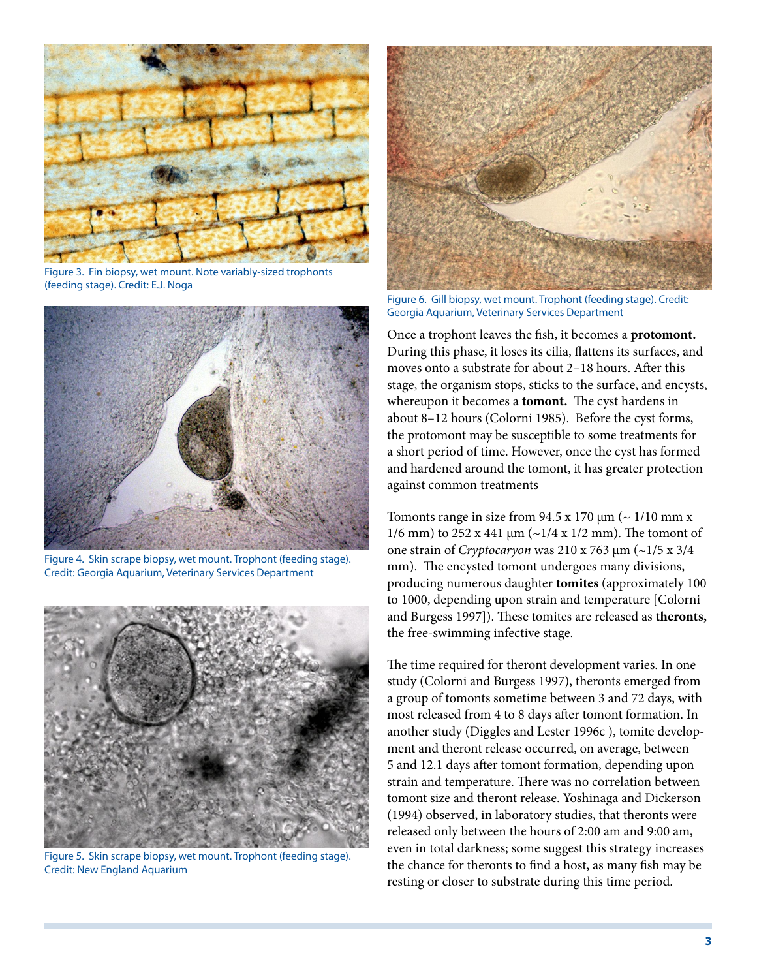

Figure 3. Fin biopsy, wet mount. Note variably-sized trophonts (feeding stage). Credit: E.J. Noga



Figure 4. Skin scrape biopsy, wet mount. Trophont (feeding stage). Credit: Georgia Aquarium, Veterinary Services Department



Figure 5. Skin scrape biopsy, wet mount. Trophont (feeding stage). Credit: New England Aquarium



Figure 6. Gill biopsy, wet mount. Trophont (feeding stage). Credit: Georgia Aquarium, Veterinary Services Department

Once a trophont leaves the fish, it becomes a **protomont.** During this phase, it loses its cilia, flattens its surfaces, and moves onto a substrate for about 2–18 hours. After this stage, the organism stops, sticks to the surface, and encysts, whereupon it becomes a **tomont.** The cyst hardens in about 8–12 hours (Colorni 1985). Before the cyst forms, the protomont may be susceptible to some treatments for a short period of time. However, once the cyst has formed and hardened around the tomont, it has greater protection against common treatments

Tomonts range in size from 94.5 x 170  $\mu$ m (~ 1/10 mm x 1/6 mm) to 252 x 441  $\mu$ m (~1/4 x 1/2 mm). The tomont of one strain of *Cryptocaryon* was 210 x 763 μm (~1/5 x 3/4 mm). The encysted tomont undergoes many divisions, producing numerous daughter **tomites** (approximately 100 to 1000, depending upon strain and temperature [Colorni and Burgess 1997]). These tomites are released as **theronts,** the free-swimming infective stage.

The time required for theront development varies. In one study (Colorni and Burgess 1997), theronts emerged from a group of tomonts sometime between 3 and 72 days, with most released from 4 to 8 days after tomont formation. In another study (Diggles and Lester 1996c ), tomite development and theront release occurred, on average, between 5 and 12.1 days after tomont formation, depending upon strain and temperature. There was no correlation between tomont size and theront release. Yoshinaga and Dickerson (1994) observed, in laboratory studies, that theronts were released only between the hours of 2:00 am and 9:00 am, even in total darkness; some suggest this strategy increases the chance for theronts to find a host, as many fish may be resting or closer to substrate during this time period.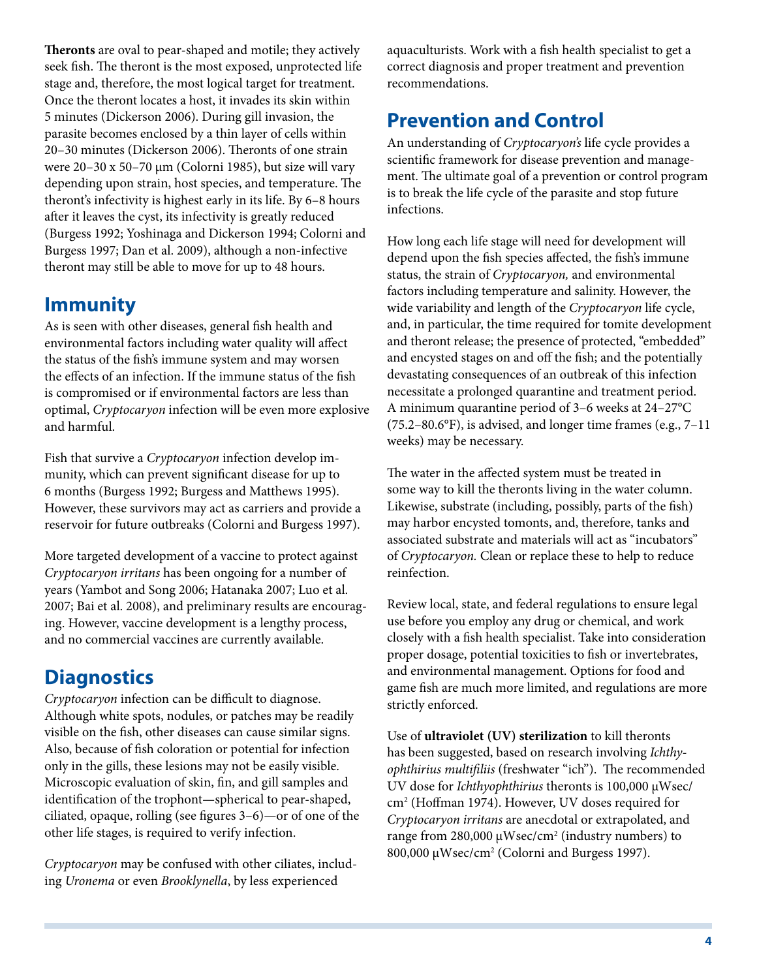**Theronts** are oval to pear-shaped and motile; they actively seek fish. The theront is the most exposed, unprotected life stage and, therefore, the most logical target for treatment. Once the theront locates a host, it invades its skin within 5 minutes (Dickerson 2006). During gill invasion, the parasite becomes enclosed by a thin layer of cells within 20–30 minutes (Dickerson 2006). Theronts of one strain were 20–30 x 50–70 µm (Colorni 1985), but size will vary depending upon strain, host species, and temperature. The theront's infectivity is highest early in its life. By 6–8 hours after it leaves the cyst, its infectivity is greatly reduced (Burgess 1992; Yoshinaga and Dickerson 1994; Colorni and Burgess 1997; Dan et al. 2009), although a non-infective theront may still be able to move for up to 48 hours.

#### **Immunity**

As is seen with other diseases, general fish health and environmental factors including water quality will affect the status of the fish's immune system and may worsen the effects of an infection. If the immune status of the fish is compromised or if environmental factors are less than optimal, *Cryptocaryon* infection will be even more explosive and harmful.

Fish that survive a *Cryptocaryon* infection develop immunity, which can prevent significant disease for up to 6 months (Burgess 1992; Burgess and Matthews 1995). However, these survivors may act as carriers and provide a reservoir for future outbreaks (Colorni and Burgess 1997).

More targeted development of a vaccine to protect against *Cryptocaryon irritans* has been ongoing for a number of years (Yambot and Song 2006; Hatanaka 2007; Luo et al. 2007; Bai et al. 2008), and preliminary results are encouraging. However, vaccine development is a lengthy process, and no commercial vaccines are currently available.

# **Diagnostics**

*Cryptocaryon* infection can be difficult to diagnose. Although white spots, nodules, or patches may be readily visible on the fish, other diseases can cause similar signs. Also, because of fish coloration or potential for infection only in the gills, these lesions may not be easily visible. Microscopic evaluation of skin, fin, and gill samples and identification of the trophont—spherical to pear-shaped, ciliated, opaque, rolling (see figures 3–6)—or of one of the other life stages, is required to verify infection.

*Cryptocaryon* may be confused with other ciliates, including *Uronema* or even *Brooklynella*, by less experienced

aquaculturists. Work with a fish health specialist to get a correct diagnosis and proper treatment and prevention recommendations.

# **Prevention and Control**

An understanding of *Cryptocaryon's* life cycle provides a scientific framework for disease prevention and management. The ultimate goal of a prevention or control program is to break the life cycle of the parasite and stop future infections.

How long each life stage will need for development will depend upon the fish species affected, the fish's immune status, the strain of *Cryptocaryon,* and environmental factors including temperature and salinity. However, the wide variability and length of the *Cryptocaryon* life cycle, and, in particular, the time required for tomite development and theront release; the presence of protected, "embedded" and encysted stages on and off the fish; and the potentially devastating consequences of an outbreak of this infection necessitate a prolonged quarantine and treatment period. A minimum quarantine period of 3–6 weeks at 24–27°C (75.2–80.6°F), is advised, and longer time frames (e.g., 7–11 weeks) may be necessary.

The water in the affected system must be treated in some way to kill the theronts living in the water column. Likewise, substrate (including, possibly, parts of the fish) may harbor encysted tomonts, and, therefore, tanks and associated substrate and materials will act as "incubators" of *Cryptocaryon.* Clean or replace these to help to reduce reinfection.

Review local, state, and federal regulations to ensure legal use before you employ any drug or chemical, and work closely with a fish health specialist. Take into consideration proper dosage, potential toxicities to fish or invertebrates, and environmental management. Options for food and game fish are much more limited, and regulations are more strictly enforced.

Use of **ultraviolet (UV) sterilization** to kill theronts has been suggested, based on research involving *Ichthyophthirius multifiliis* (freshwater "ich"). The recommended UV dose for *Ichthyophthirius* theronts is 100,000 µWsec/ cm2 (Hoffman 1974). However, UV doses required for *Cryptocaryon irritans* are anecdotal or extrapolated, and range from 280,000  $\mu$ Wsec/cm<sup>2</sup> (industry numbers) to 800,000 µWsec/cm2 (Colorni and Burgess 1997).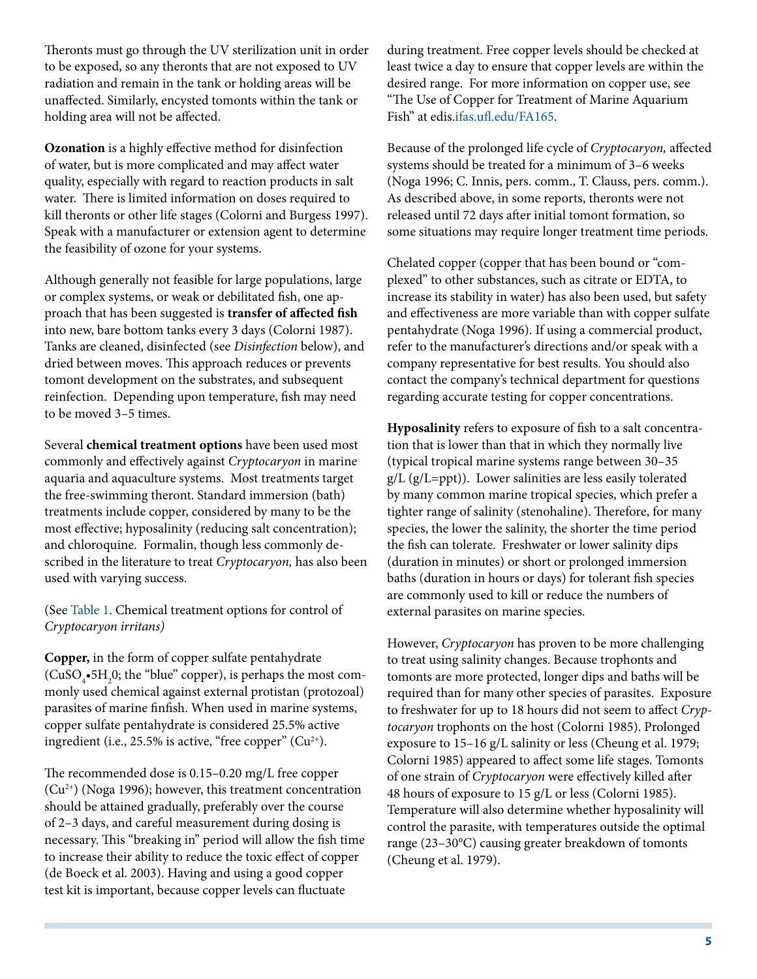Theronts must go through the UV sterilization unit in order to be exposed, so any theronts that are not exposed to UV radiation and remain in the tank or holding areas will be unaffected. Similarly, encysted tomonts within the tank or holding area will not be affected.

**Ozonation** is a highly effective method for disinfection of water, but is more complicated and may affect water quality, especially with regard to reaction products in salt water. There is limited information on doses required to kill theronts or other life stages (Colorni and Burgess 1997). Speak with a manufacturer or extension agent to determine the feasibility of ozone for your systems.

Although generally not feasible for large populations, large or complex systems, or weak or debilitated fish, one approach that has been suggested is **transfer of affected fish** into new, bare bottom tanks every 3 days (Colorni 1987). Tanks are cleaned, disinfected (see *Disinfection* below), and dried between moves. This approach reduces or prevents tomont development on the substrates, and subsequent reinfection. Depending upon temperature, fish may need to be moved 3–5 times.

Several **chemical treatment options** have been used most commonly and effectively against *Cryptocaryon* in marine aquaria and aquaculture systems. Most treatments target the free-swimming theront. Standard immersion (bath) treatments include copper, considered by many to be the most effective; hyposalinity (reducing salt concentration); and chloroquine. Formalin, though less commonly described in the literature to treat *Cryptocaryon,* has also been used with varying success.

(See [Table 1](TABLE_1_DOCUMENT_FA164). Chemical treatment options for control of *Cryptocaryon irritans)* 

**Copper,** in the form of copper sulfate pentahydrate  $(CuSO_{4} \cdot 5H_{2}0;$  the "blue" copper), is perhaps the most commonly used chemical against external protistan (protozoal) parasites of marine finfish. When used in marine systems, copper sulfate pentahydrate is considered 25.5% active ingredient (i.e., 25.5% is active, "free copper"  $(Cu^{2+})$ .

The recommended dose is 0.15–0.20 mg/L free copper (Cu2+) (Noga 1996); however, this treatment concentration should be attained gradually, preferably over the course of 2–3 days, and careful measurement during dosing is necessary. This "breaking in" period will allow the fish time to increase their ability to reduce the toxic effect of copper (de Boeck et al. 2003). Having and using a good copper test kit is important, because copper levels can fluctuate

during treatment. Free copper levels should be checked at least twice a day to ensure that copper levels are within the desired range. For more information on copper use, see "The Use of Copper for Treatment of Marine Aquarium Fish" at edis[.ifas.ufl.edu/FA165](http://edis.ifas.ufl.edu/FA165).

Because of the prolonged life cycle of *Cryptocaryon,* affected systems should be treated for a minimum of 3–6 weeks (Noga 1996; C. Innis, pers. comm., T. Clauss, pers. comm.). As described above, in some reports, theronts were not released until 72 days after initial tomont formation, so some situations may require longer treatment time periods.

Chelated copper (copper that has been bound or "complexed" to other substances, such as citrate or EDTA, to increase its stability in water) has also been used, but safety and effectiveness are more variable than with copper sulfate pentahydrate (Noga 1996). If using a commercial product, refer to the manufacturer's directions and/or speak with a company representative for best results. You should also contact the company's technical department for questions regarding accurate testing for copper concentrations.

**Hyposalinity** refers to exposure of fish to a salt concentration that is lower than that in which they normally live (typical tropical marine systems range between 30–35 g/L (g/L=ppt)). Lower salinities are less easily tolerated by many common marine tropical species, which prefer a tighter range of salinity (stenohaline). Therefore, for many species, the lower the salinity, the shorter the time period the fish can tolerate. Freshwater or lower salinity dips (duration in minutes) or short or prolonged immersion baths (duration in hours or days) for tolerant fish species are commonly used to kill or reduce the numbers of external parasites on marine species.

However, *Cryptocaryon* has proven to be more challenging to treat using salinity changes. Because trophonts and tomonts are more protected, longer dips and baths will be required than for many other species of parasites. Exposure to freshwater for up to 18 hours did not seem to affect *Cryptocaryon* trophonts on the host (Colorni 1985). Prolonged exposure to 15–16 g/L salinity or less (Cheung et al. 1979; Colorni 1985) appeared to affect some life stages. Tomonts of one strain of *Cryptocaryon* were effectively killed after 48 hours of exposure to 15 g/L or less (Colorni 1985). Temperature will also determine whether hyposalinity will control the parasite, with temperatures outside the optimal range (23–30°C) causing greater breakdown of tomonts (Cheung et al. 1979).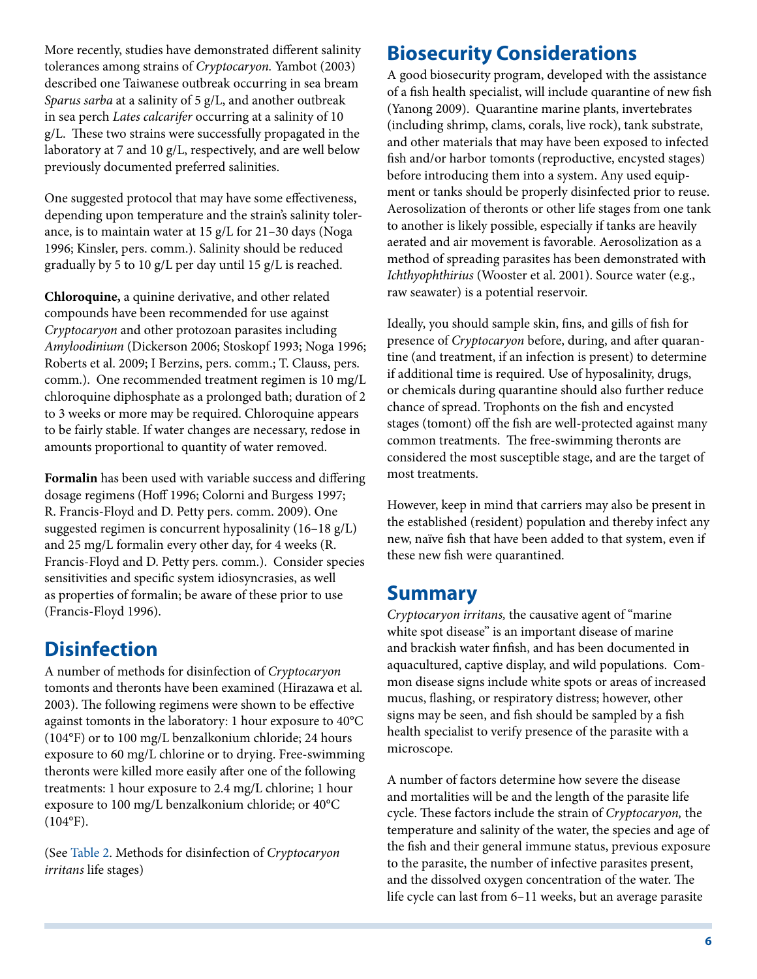More recently, studies have demonstrated different salinity tolerances among strains of *Cryptocaryon.* Yambot (2003) described one Taiwanese outbreak occurring in sea bream *Sparus sarba* at a salinity of 5 g/L, and another outbreak in sea perch *Lates calcarifer* occurring at a salinity of 10 g/L. These two strains were successfully propagated in the laboratory at 7 and 10 g/L, respectively, and are well below previously documented preferred salinities.

One suggested protocol that may have some effectiveness, depending upon temperature and the strain's salinity tolerance, is to maintain water at 15 g/L for 21–30 days (Noga 1996; Kinsler, pers. comm.). Salinity should be reduced gradually by 5 to 10 g/L per day until 15 g/L is reached.

**Chloroquine,** a quinine derivative, and other related compounds have been recommended for use against *Cryptocaryon* and other protozoan parasites including *Amyloodinium* (Dickerson 2006; Stoskopf 1993; Noga 1996; Roberts et al. 2009; I Berzins, pers. comm.; T. Clauss, pers. comm.). One recommended treatment regimen is 10 mg/L chloroquine diphosphate as a prolonged bath; duration of 2 to 3 weeks or more may be required. Chloroquine appears to be fairly stable. If water changes are necessary, redose in amounts proportional to quantity of water removed.

**Formalin** has been used with variable success and differing dosage regimens (Hoff 1996; Colorni and Burgess 1997; R. Francis-Floyd and D. Petty pers. comm. 2009). One suggested regimen is concurrent hyposalinity (16–18 g/L) and 25 mg/L formalin every other day, for 4 weeks (R. Francis-Floyd and D. Petty pers. comm.). Consider species sensitivities and specific system idiosyncrasies, as well as properties of formalin; be aware of these prior to use (Francis-Floyd 1996).

# **Disinfection**

A number of methods for disinfection of *Cryptocaryon* tomonts and theronts have been examined (Hirazawa et al. 2003). The following regimens were shown to be effective against tomonts in the laboratory: 1 hour exposure to 40°C (104°F) or to 100 mg/L benzalkonium chloride; 24 hours exposure to 60 mg/L chlorine or to drying. Free-swimming theronts were killed more easily after one of the following treatments: 1 hour exposure to 2.4 mg/L chlorine; 1 hour exposure to 100 mg/L benzalkonium chloride; or 40°C  $(104^{\circ}F).$ 

(See [Table 2](TABLE_2_DOCUMENT_FA164). Methods for disinfection of *Cryptocaryon irritans* life stages)

# **Biosecurity Considerations**

A good biosecurity program, developed with the assistance of a fish health specialist, will include quarantine of new fish (Yanong 2009). Quarantine marine plants, invertebrates (including shrimp, clams, corals, live rock), tank substrate, and other materials that may have been exposed to infected fish and/or harbor tomonts (reproductive, encysted stages) before introducing them into a system. Any used equipment or tanks should be properly disinfected prior to reuse. Aerosolization of theronts or other life stages from one tank to another is likely possible, especially if tanks are heavily aerated and air movement is favorable. Aerosolization as a method of spreading parasites has been demonstrated with *Ichthyophthirius* (Wooster et al. 2001). Source water (e.g., raw seawater) is a potential reservoir.

Ideally, you should sample skin, fins, and gills of fish for presence of *Cryptocaryon* before, during, and after quarantine (and treatment, if an infection is present) to determine if additional time is required. Use of hyposalinity, drugs, or chemicals during quarantine should also further reduce chance of spread. Trophonts on the fish and encysted stages (tomont) off the fish are well-protected against many common treatments. The free-swimming theronts are considered the most susceptible stage, and are the target of most treatments.

However, keep in mind that carriers may also be present in the established (resident) population and thereby infect any new, naïve fish that have been added to that system, even if these new fish were quarantined.

#### **Summary**

*Cryptocaryon irritans,* the causative agent of "marine white spot disease" is an important disease of marine and brackish water finfish, and has been documented in aquacultured, captive display, and wild populations. Common disease signs include white spots or areas of increased mucus, flashing, or respiratory distress; however, other signs may be seen, and fish should be sampled by a fish health specialist to verify presence of the parasite with a microscope.

A number of factors determine how severe the disease and mortalities will be and the length of the parasite life cycle. These factors include the strain of *Cryptocaryon,* the temperature and salinity of the water, the species and age of the fish and their general immune status, previous exposure to the parasite, the number of infective parasites present, and the dissolved oxygen concentration of the water. The life cycle can last from 6–11 weeks, but an average parasite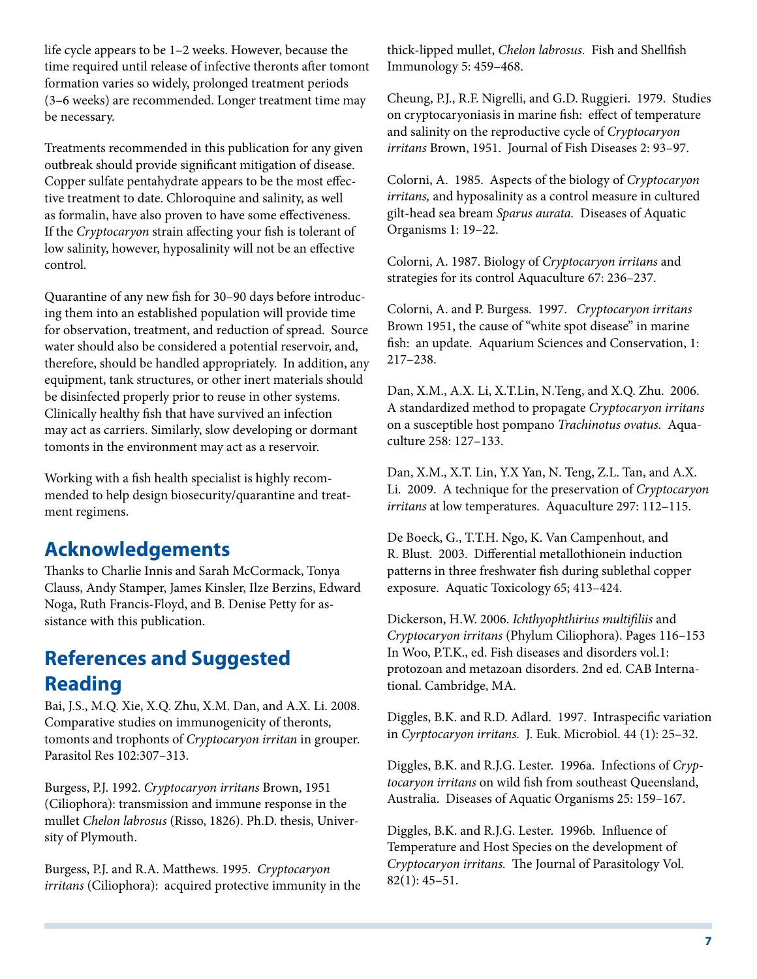life cycle appears to be 1–2 weeks. However, because the time required until release of infective theronts after tomont formation varies so widely, prolonged treatment periods (3–6 weeks) are recommended. Longer treatment time may be necessary.

Treatments recommended in this publication for any given outbreak should provide significant mitigation of disease. Copper sulfate pentahydrate appears to be the most effective treatment to date. Chloroquine and salinity, as well as formalin, have also proven to have some effectiveness. If the *Cryptocaryon* strain affecting your fish is tolerant of low salinity, however, hyposalinity will not be an effective control.

Quarantine of any new fish for 30–90 days before introducing them into an established population will provide time for observation, treatment, and reduction of spread. Source water should also be considered a potential reservoir, and, therefore, should be handled appropriately. In addition, any equipment, tank structures, or other inert materials should be disinfected properly prior to reuse in other systems. Clinically healthy fish that have survived an infection may act as carriers. Similarly, slow developing or dormant tomonts in the environment may act as a reservoir.

Working with a fish health specialist is highly recommended to help design biosecurity/quarantine and treatment regimens.

### **Acknowledgements**

Thanks to Charlie Innis and Sarah McCormack, Tonya Clauss, Andy Stamper, James Kinsler, Ilze Berzins, Edward Noga, Ruth Francis-Floyd, and B. Denise Petty for assistance with this publication.

# **References and Suggested Reading**

Bai, J.S., M.Q. Xie, X.Q. Zhu, X.M. Dan, and A.X. Li. 2008. Comparative studies on immunogenicity of theronts, tomonts and trophonts of *Cryptocaryon irritan* in grouper. Parasitol Res 102:307–313.

Burgess, P.J. 1992. *Cryptocaryon irritans* Brown, 1951 (Ciliophora): transmission and immune response in the mullet *Chelon labrosus* (Risso, 1826). Ph.D. thesis, University of Plymouth.

Burgess, P.J. and R.A. Matthews. 1995. *Cryptocaryon irritans* (Ciliophora): acquired protective immunity in the thick-lipped mullet, *Chelon labrosus.* Fish and Shellfish Immunology 5: 459–468.

Cheung, P.J., R.F. Nigrelli, and G.D. Ruggieri. 1979. Studies on cryptocaryoniasis in marine fish: effect of temperature and salinity on the reproductive cycle of *Cryptocaryon irritans* Brown, 1951. Journal of Fish Diseases 2: 93–97.

Colorni, A. 1985. Aspects of the biology of *Cryptocaryon irritans,* and hyposalinity as a control measure in cultured gilt-head sea bream *Sparus aurata.* Diseases of Aquatic Organisms 1: 19–22.

Colorni, A. 1987. Biology of *Cryptocaryon irritans* and strategies for its control Aquaculture 67: 236–237.

Colorni, A. and P. Burgess. 1997. *Cryptocaryon irritans* Brown 1951, the cause of "white spot disease" in marine fish: an update. Aquarium Sciences and Conservation, 1: 217–238.

Dan, X.M., A.X. Li, X.T.Lin, N.Teng, and X.Q. Zhu. 2006. A standardized method to propagate *Cryptocaryon irritans* on a susceptible host pompano *Trachinotus ovatus.* Aquaculture 258: 127–133.

Dan, X.M., X.T. Lin, Y.X Yan, N. Teng, Z.L. Tan, and A.X. Li. 2009. A technique for the preservation of *Cryptocaryon irritans* at low temperatures. Aquaculture 297: 112–115.

De Boeck, G., T.T.H. Ngo, K. Van Campenhout, and R. Blust. 2003. Differential metallothionein induction patterns in three freshwater fish during sublethal copper exposure. Aquatic Toxicology 65; 413–424.

Dickerson, H.W. 2006. *Ichthyophthirius multifiliis* and *Cryptocaryon irritans* (Phylum Ciliophora). Pages 116–153 In Woo, P.T.K., ed. Fish diseases and disorders vol.1: protozoan and metazoan disorders. 2nd ed. CAB International. Cambridge, MA.

Diggles, B.K. and R.D. Adlard. 1997. Intraspecific variation in *Cyrptocaryon irritans.* J. Euk. Microbiol. 44 (1): 25–32.

Diggles, B.K. and R.J.G. Lester. 1996a. Infections of *Cryptocaryon irritans* on wild fish from southeast Queensland, Australia. Diseases of Aquatic Organisms 25: 159–167.

Diggles, B.K. and R.J.G. Lester. 1996b. Influence of Temperature and Host Species on the development of *Cryptocaryon irritans.* The Journal of Parasitology Vol. 82(1): 45–51.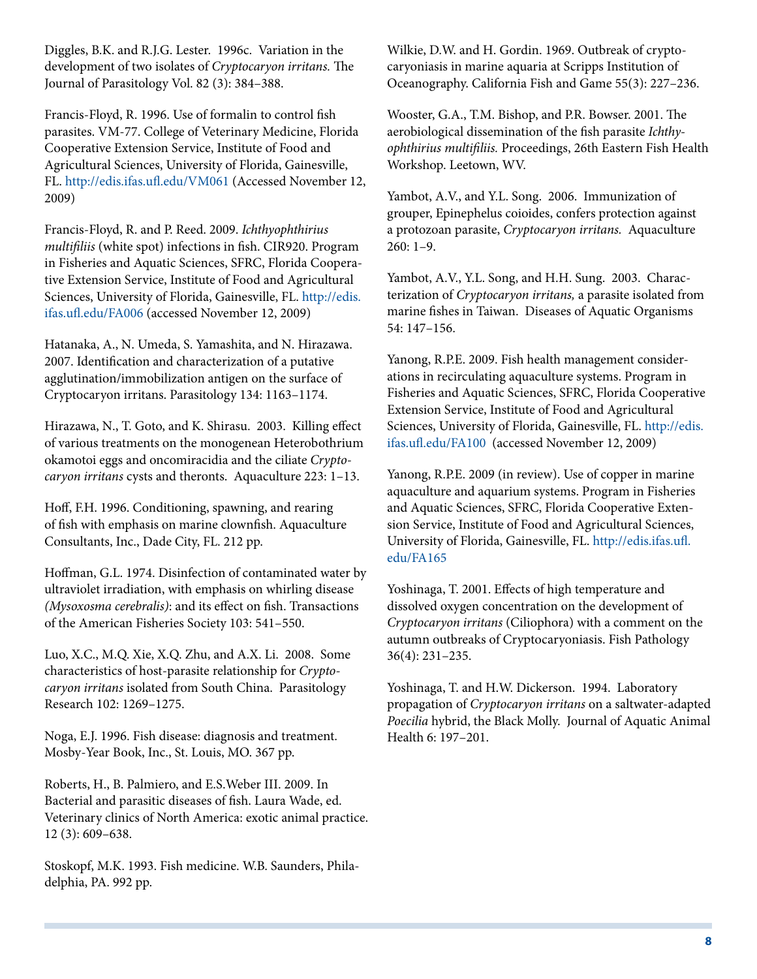Diggles, B.K. and R.J.G. Lester. 1996c. Variation in the development of two isolates of *Cryptocaryon irritans.* The Journal of Parasitology Vol. 82 (3): 384–388.

Francis-Floyd, R. 1996. Use of formalin to control fish parasites. VM-77. College of Veterinary Medicine, Florida Cooperative Extension Service, Institute of Food and Agricultural Sciences, University of Florida, Gainesville, FL. <http://edis.ifas.ufl.edu/VM061> (Accessed November 12, 2009)

Francis-Floyd, R. and P. Reed. 2009. *Ichthyophthirius multifiliis* (white spot) infections in fish. CIR920. Program in Fisheries and Aquatic Sciences, SFRC, Florida Cooperative Extension Service, Institute of Food and Agricultural Sciences, University of Florida, Gainesville, FL. [http://edis.](http://edis.ifas.ufl.edu/FA006) [ifas.ufl.edu/FA006](http://edis.ifas.ufl.edu/FA006) (accessed November 12, 2009)

Hatanaka, A., N. Umeda, S. Yamashita, and N. Hirazawa. 2007. Identification and characterization of a putative agglutination/immobilization antigen on the surface of Cryptocaryon irritans. Parasitology 134: 1163–1174.

Hirazawa, N., T. Goto, and K. Shirasu. 2003. Killing effect of various treatments on the monogenean Heterobothrium okamotoi eggs and oncomiracidia and the ciliate *Cryptocaryon irritans* cysts and theronts. Aquaculture 223: 1–13.

Hoff, F.H. 1996. Conditioning, spawning, and rearing of fish with emphasis on marine clownfish. Aquaculture Consultants, Inc., Dade City, FL. 212 pp.

Hoffman, G.L. 1974. Disinfection of contaminated water by ultraviolet irradiation, with emphasis on whirling disease *(Mysoxosma cerebralis)*: and its effect on fish. Transactions of the American Fisheries Society 103: 541–550.

Luo, X.C., M.Q. Xie, X.Q. Zhu, and A.X. Li. 2008. Some characteristics of host-parasite relationship for *Cryptocaryon irritans* isolated from South China. Parasitology Research 102: 1269–1275.

Noga, E.J. 1996. Fish disease: diagnosis and treatment. Mosby-Year Book, Inc., St. Louis, MO. 367 pp.

Roberts, H., B. Palmiero, and E.S.Weber III. 2009. In Bacterial and parasitic diseases of fish. Laura Wade, ed. Veterinary clinics of North America: exotic animal practice. 12 (3): 609–638.

Stoskopf, M.K. 1993. Fish medicine. W.B. Saunders, Philadelphia, PA. 992 pp.

Wilkie, D.W. and H. Gordin. 1969. Outbreak of cryptocaryoniasis in marine aquaria at Scripps Institution of Oceanography. California Fish and Game 55(3): 227–236.

Wooster, G.A., T.M. Bishop, and P.R. Bowser. 2001. The aerobiological dissemination of the fish parasite *Ichthyophthirius multifiliis.* Proceedings, 26th Eastern Fish Health Workshop. Leetown, WV.

Yambot, A.V., and Y.L. Song. 2006. Immunization of grouper, Epinephelus coioides, confers protection against a protozoan parasite, *Cryptocaryon irritans.* Aquaculture 260: 1–9.

Yambot, A.V., Y.L. Song, and H.H. Sung. 2003. Characterization of *Cryptocaryon irritans,* a parasite isolated from marine fishes in Taiwan. Diseases of Aquatic Organisms 54: 147–156.

Yanong, R.P.E. 2009. Fish health management considerations in recirculating aquaculture systems. Program in Fisheries and Aquatic Sciences, SFRC, Florida Cooperative Extension Service, Institute of Food and Agricultural Sciences, University of Florida, Gainesville, FL. [http://edis.](http://edis.ifas.ufl.edu/FA100) [ifas.ufl.edu/FA100](http://edis.ifas.ufl.edu/FA100) (accessed November 12, 2009)

Yanong, R.P.E. 2009 (in review). Use of copper in marine aquaculture and aquarium systems. Program in Fisheries and Aquatic Sciences, SFRC, Florida Cooperative Extension Service, Institute of Food and Agricultural Sciences, University of Florida, Gainesville, FL. [http://edis.ifas.ufl.](http://edis.ifas.ufl.edu/FA165) [edu/FA165](http://edis.ifas.ufl.edu/FA165)

Yoshinaga, T. 2001. Effects of high temperature and dissolved oxygen concentration on the development of *Cryptocaryon irritans* (Ciliophora) with a comment on the autumn outbreaks of Cryptocaryoniasis. Fish Pathology 36(4): 231–235.

Yoshinaga, T. and H.W. Dickerson. 1994. Laboratory propagation of *Cryptocaryon irritans* on a saltwater-adapted *Poecilia* hybrid, the Black Molly. Journal of Aquatic Animal Health 6: 197–201.